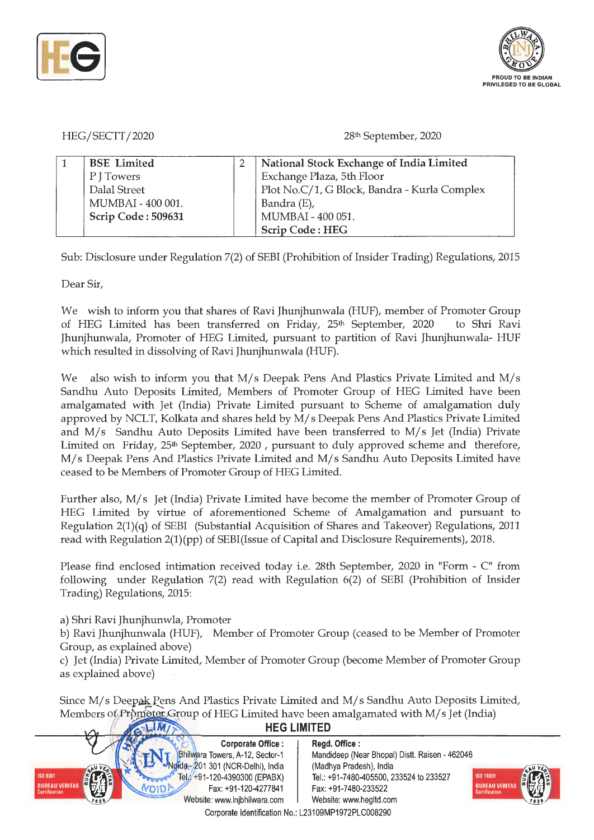



HEG/SECTT/2020

28<sup>th</sup> September, 2020

| <b>BSE</b> Limited | National Stock Exchange of India Limited     |
|--------------------|----------------------------------------------|
| P J Towers         | Exchange Plaza, 5th Floor                    |
| Dalal Street       | Plot No.C/1, G Block, Bandra - Kurla Complex |
| MUMBAI - 400 001.  | Bandra (E),                                  |
| Scrip Code: 509631 | MUMBAI - 400 051.                            |
|                    | <b>Scrip Code: HEG</b>                       |

Sub: Disclosure under Regulation 7(2) of SEBI (Prohibition of Insider Trading) Regulations, 2015

Dear Sir,

We wish to inform you that shares of Ravi Jhunjhunwala (HUF), member of Promoter Group of HEG Limited has been transferred on Friday, 25<sup>th</sup> September, 2020 to Shri Ravi Jhunjhunwala, Promoter of HEG Limited, pursuant to partition of Ravi Jhunjhunwala- HUF which resulted in dissolving of Ravi Jhunjhunwala (HUF).

We also wish to inform you that M/s Deepak Pens And Plastics Private Limited and M/s Sandhu Auto Deposits Limited, Members of Promoter Group of HEG Limited have been amalgamated with Jet (India) Private Limited pursuant to Scheme of amalgamation duly approved by NCLT, Kolkata and shares held by M/ s Deepak Pens And Plastics Private Limited and  $M/s$  Sandhu Auto Deposits Limited have been transferred to  $M/s$  Jet (India) Private Limited on Friday, 25<sup>th</sup> September, 2020, pursuant to duly approved scheme and therefore, M/s Deepak Pens And Plastics Private Limited and M/s Sandhu Auto Deposits Limited have ceased to be Members of Promoter Group of HEG Limited.

Further also, M/s Jet (India) Private Limited have become the member of Promoter Group of HEG Limited by virtue of aforementioned Scheme of Amalgamation and pursuant to Regulation 2(1)(q) of SEBI (Substantial Acquisition of Shares and Takeover) Regulations, 2011 read with Regulation 2(1)(pp) of SEBI(Issue of Capital and Disclosure Requirements), 2018.

Please find enclosed intimation received today i.e. 28th September, 2020 in "Form - C" from following under Regulation 7(2) read with Regulation 6(2) of SEBI (Prohibition of Insider Trading) Regulations, 2015:

a) Shri Ravi Jhunjhunwla, Promoter

b) Ravi Jhunjhunwala (HUF), Member of Promoter Group (ceased to be Member of Promoter Group, as explained above)

c) Jet (India) Private Limited, Member of Promoter Group (become Member of Promoter Group as explained above)

Since M/s Deepak Pens And Plastics Private Limited and M/s Sandhu Auto Deposits Limited, Members of Promoter Group of HEG Limited have been amalgamated with M/s Jet (India)

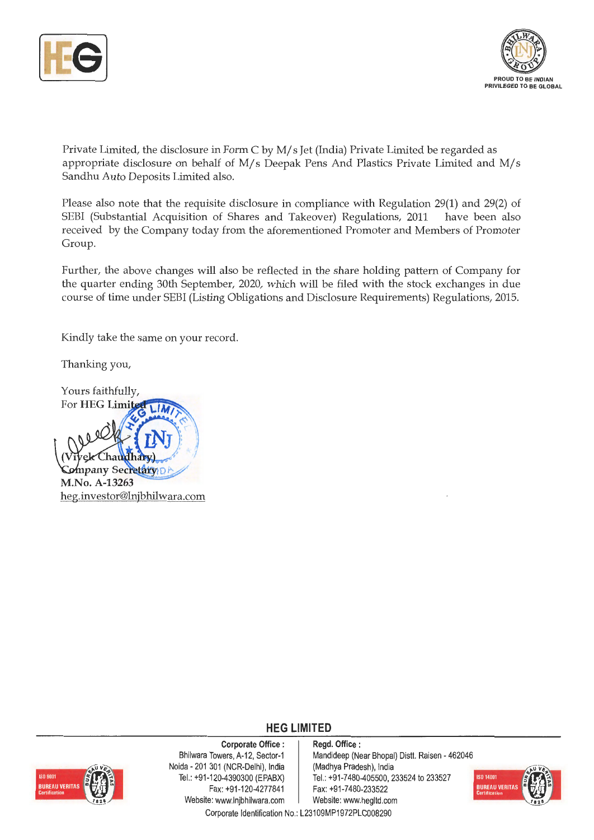



Private Limited, the disclosure in Form C by M/ s Jet (India) Private Limited be regarded as appropriate disclosure on behalf of  $M/s$  Deepak Pens And Plastics Private Limited and  $M/s$ Sandhu Auto Deposits Limited also.

Please also note that the requisite disclosure in compliance with Regulation 29(1) and 29(2) of SEBI (Substantial Acquisition of Shares and Takeover) Regulations, 2011 have been also received by the Company today from the aforementioned Promoter and Members of Promoter Group.

Further, the above changes will also be reflected in the share holding pattern of Company for the quarter ending 30th September, 2020, which will be filed with the stock exchanges in due course of time under SEBI (Listing Obligations and Disclosure Requirements) Regulations, 2015.

Kindly take the same on your record.

Thanking you,



#### **HEG LIMITED**



**Corporate Office** : Bhilwara Towers, A-12, Sector-1 Naida - 201 301 (NCR-Delhi), India Tel.: +91-120-4390300 (EPABX) Fax: +91-120-4277841 Website: www.lnjbhilwara.com | Website: www.hegltd.com

**Regd. Office** : Mandideep (Near Bhopal) Distt. Raisen - 462046 (Madhya Pradesh), India Tel.: +91-7480-405500, 233524 to 233527 Fax: +91-7480-233522



Corporate Identification No.: L23109MP1972PLC008290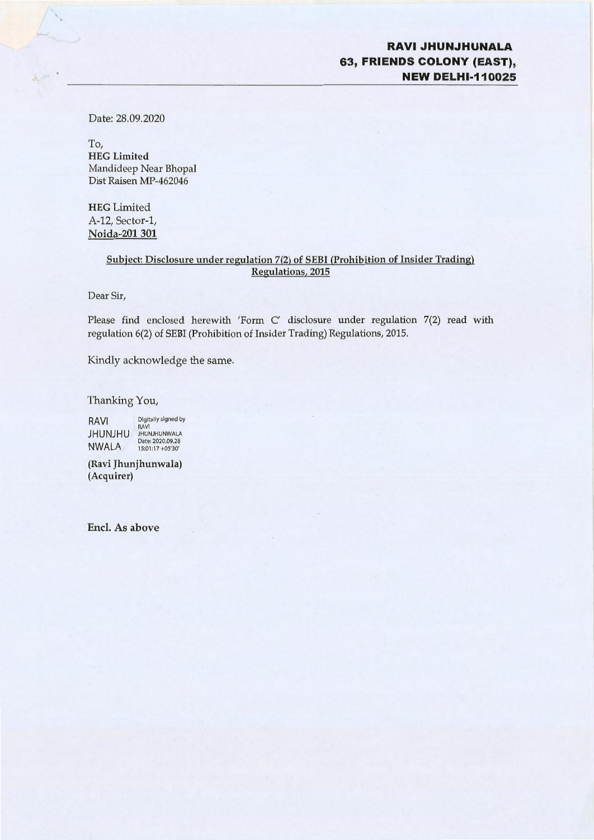#### **RAVIJHUNJHUNALA 63, FRIENDS COLONY (EAST), NEW DELHl-110025**

Date: 28.09.2020

 $\Lambda$ 

To, **HEG Limited**  Mandideep Near Bhopal Dist Raisen MP-462046

**HEG** Limited A-12, Sector-1, **Noida-201 301** 

#### **Subject: Disclosure under regulation 7(2) of SEBI (Prohibition of Insider Trading) Regulations, 2015**

Dear Sir,

Please find enclosed herewith 'Form C' disclosure under regulation 7(2) read with regulation 6(2) of SEBI (Prohibition of Insider Trading) Regulations, 2015.

Kindly acknowledge the same.

Thanking You,

RAVI Digitally signed by RAVI JHUNJHU JHUNJHUNWALA NWALA Date: 2020.09.28 15:01 :17 +05'30'

**(Ravi Jhunjhunwala) (Acquirer)** 

**Encl. As above**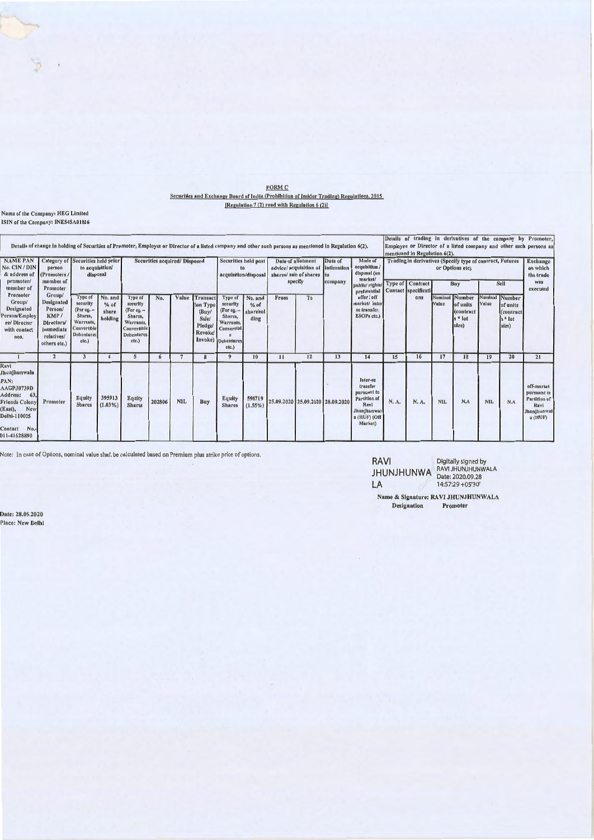| <b>FORM C</b>                                                                             |
|-------------------------------------------------------------------------------------------|
| Securities and Exchange Board of India (Prohibition of Insider Trading) Regulations, 2015 |
| [Regulation $7(2)$ read with Regulation $6(2)$ ]                                          |

## Name of the Company: HEG Limited<br>ISIN of the Company: INE545A01016

 $\circledast$  .

|                                                                                                                                                        | Details of change in holding of Securities of Promoter, Employee or Director of a listed company and other such persons as mentioned in Regulation 6(2). |                                                                                                          |                                     |                                                                                                          |        |                               |                                                                            |                                                                                                           |                                     |              |                                                                                 |         |                                                                                                              |       | mentioned in Regulation 6(2). |            |                                                                                 |       |                                                                | Details of trading in derivatives of the company by Promoter,<br>Employee or Director of a listed company and other such persons as |
|--------------------------------------------------------------------------------------------------------------------------------------------------------|----------------------------------------------------------------------------------------------------------------------------------------------------------|----------------------------------------------------------------------------------------------------------|-------------------------------------|----------------------------------------------------------------------------------------------------------|--------|-------------------------------|----------------------------------------------------------------------------|-----------------------------------------------------------------------------------------------------------|-------------------------------------|--------------|---------------------------------------------------------------------------------|---------|--------------------------------------------------------------------------------------------------------------|-------|-------------------------------|------------|---------------------------------------------------------------------------------|-------|----------------------------------------------------------------|-------------------------------------------------------------------------------------------------------------------------------------|
| <b>NAME PAN</b><br>No. CIN / DIN<br>& address of                                                                                                       | Category of Securities held prior<br>person<br>(Promoters/                                                                                               | to acquisition/<br>disposal                                                                              |                                     |                                                                                                          |        | Securities acquired/ Disposed |                                                                            | <b>Securities held post</b><br>to<br>acquisition/disposal                                                 |                                     |              | Date of allotment<br>advice/ acquisition of intimation<br>shares/sale of shares | Date of | Mode of<br>acquisition /<br>disposal (on<br>market/                                                          |       |                               |            | Trading in derivatives (Specify type of contract, Futures<br>or Options etc)    |       |                                                                | <b>Exchange</b><br>on which<br>the trade<br><b>Was</b>                                                                              |
| promoter/<br>member of                                                                                                                                 | member of<br>Promoter                                                                                                                                    |                                                                                                          |                                     |                                                                                                          |        |                               |                                                                            |                                                                                                           |                                     | specify      |                                                                                 | company | public/rights/ Type of Contract<br>preferential Contact specificati                                          |       |                               | Buy        |                                                                                 | Sell  |                                                                | executed                                                                                                                            |
| Promoter<br>Group/<br>Designated<br>Person/Employ<br>ee/ Director<br>with contact<br>nos.                                                              | Group/<br><b>Designated</b><br>Person/<br>KMP/<br><b>Directors</b><br>immediate<br>relatives/<br>others etc.)                                            | Type of<br>security<br>(For eg. $-$<br>Shares,<br>Warrants,<br>Convertible<br><b>Debentures</b><br>etc.) | No. and<br>% of<br>share<br>holding | Type of<br>security<br>(For eg. $-$<br>Shares,<br>Warrants,<br>Convertible<br><b>Debentures</b><br>etc.) | No.    | Value                         | <b>Transact</b><br>ion Type<br>(Buy)<br>Sale/<br>Pledge/<br><b>Revoke/</b> | Type of<br>security<br>(For eg. $-$<br>Shares,<br>Warrants.<br>Convertibl.<br>Invoke) Debentures<br>etc.) | No. and<br>% of<br>sharehol<br>ding | From         | To                                                                              |         | offer / off<br>market/ Inter<br>se transfer.<br>ESOPs etc.)                                                  |       | ons                           | Value      | Nominal Number<br>of units<br><i>(contract</i><br>$s$ <sup>*</sup> lot<br>size) | Value | Nominal Number<br>of units<br>(contract)<br>$s *$ lot<br>size) |                                                                                                                                     |
|                                                                                                                                                        | $\overline{2}$                                                                                                                                           | 3                                                                                                        |                                     | 5                                                                                                        | 6      |                               |                                                                            | 9                                                                                                         | 10                                  | $\mathbf{H}$ | 12                                                                              | 13      | 14                                                                                                           | 15    | 16                            | 17         | 18                                                                              | 19    | 20                                                             | 21                                                                                                                                  |
| Ravi<br>Jhunjhunwala<br>PAN:<br>AAGPJ0739D<br>Address:<br>63.<br><b>Friends Colony</b><br>New<br>East),<br>Delhi-110025<br>Contact No.<br>011-41628890 | Promoter                                                                                                                                                 | Equity<br><b>Shares</b>                                                                                  | 395913<br>$(1.03\%)$                | Equity<br><b>Shares</b>                                                                                  | 202806 | <b>NIL</b>                    | Buy                                                                        | <b>Equity</b><br><b>Shares</b>                                                                            | 598719<br>$(1.55\%)$                |              | 25.09.2020 25.09.2020 28.09.2020                                                |         | Inter-se<br>transfer<br>pursuant to<br><b>Partition of</b><br>Ravl<br>Jhunjhunwal<br>a (HUF) (Off<br>Market) | N. A. | N.A.                          | <b>NIL</b> | N.A                                                                             | NIL.  | N.A                                                            | off-market<br>pursuant to<br>Partition of<br>Ravi<br>Jhunjhunwal<br>a (HUF)                                                         |

Note: In case of Options, nominal value shall be calculated based on Premium plus strike price of options.

RAVI Digitally signed by<br>JHUNJHUNWA RAVI JHUNJHUNWALA<br>LA 14:57:29 +05'30'

Name & Signature: RAVI JHUNJHUNWALA<br>Designation Promoter

Date: 28.09.2020<br>Place: New Delhi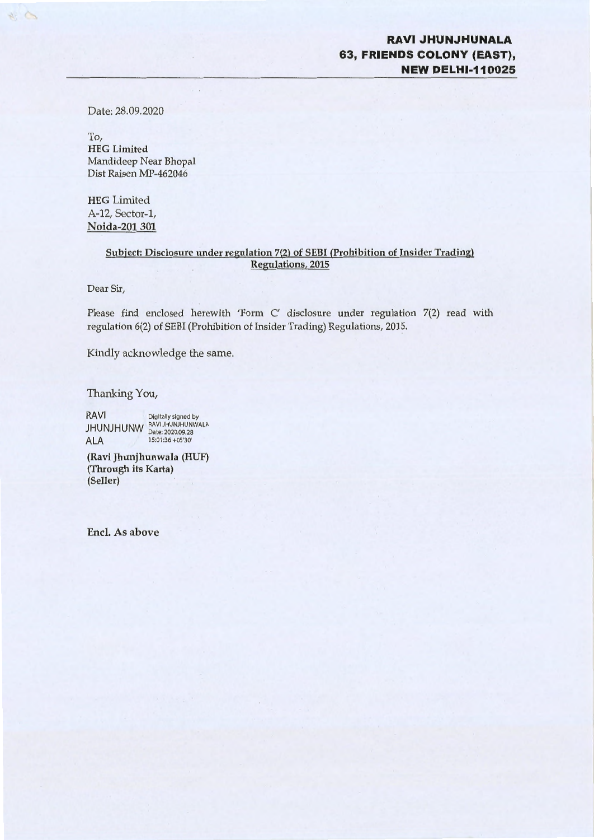### **RAVIJHUNJHUNALA 63, FRIENDS COLONY (EAST), NEW DELHl-110025**

Date: 28.09.2020

23

To, HEG Limited Mandideep Near Bhopal Dist Raisen MP-462046

HEG Limited A-12, Sector-1, Noida-201 301

#### **Subject: Disclosure under regulation** 7(2) **of SEBI (Prohibition of Insider Trading) Regulations, 2015**

Dear Sir,

Please find enclosed herewith 'Form C' disclosure under regulation 7(2) read with regulation 6(2) of SEBI (Prohibition of Insider Trading) Regulations, 2015.

Kindly acknowledge the same.

Thanking You,

RAVI Digitally signed by JHUNJHUNW RAVIJHUNJHUNWALA ALA  $15:01:36 + 05'30'$ 

**(Ravi Jhunjhunwala (HUF) (Through its Karta) (Seller)** 

**Encl. As above**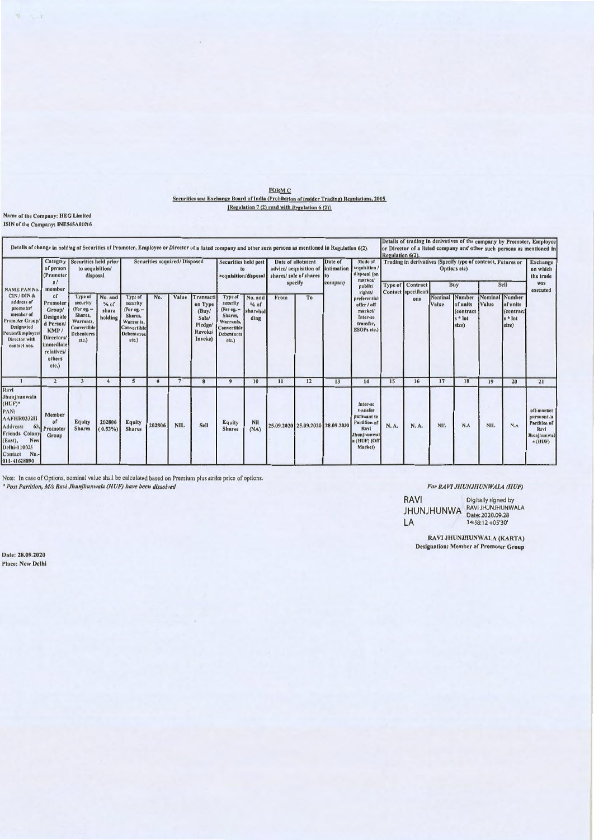| <b>FORM C</b>                                                                             |
|-------------------------------------------------------------------------------------------|
| Securities and Exchange Board of India (Prohibition of Insider Trading) Regulations, 2015 |
| [Regulation $7(2)$ read with Regulation $6(2)$ ]                                          |

### **Name of the Company: HEG Limited<br>ISIN of the Company: INE545A01016**

| Details of change in holding of Securities of Promoter, Employee or Director of a listed company and other such persons as mentioned in Regulation 6(2).                    |                                                                                                                             |                                                                                                          |                                       |                                                                                                          |                              |               |                                                                        |                                                                                                        |                                                    |               |                                                                                                                     |    |                                                                                                       | Regulation 6(2). |                                                |                                                                                             |                                                              |            |                                                                | Details of trading in derivatives of the company by Promoter, Employee<br>or Director of a listed company and other such persons as mentioned in |
|-----------------------------------------------------------------------------------------------------------------------------------------------------------------------------|-----------------------------------------------------------------------------------------------------------------------------|----------------------------------------------------------------------------------------------------------|---------------------------------------|----------------------------------------------------------------------------------------------------------|------------------------------|---------------|------------------------------------------------------------------------|--------------------------------------------------------------------------------------------------------|----------------------------------------------------|---------------|---------------------------------------------------------------------------------------------------------------------|----|-------------------------------------------------------------------------------------------------------|------------------|------------------------------------------------|---------------------------------------------------------------------------------------------|--------------------------------------------------------------|------------|----------------------------------------------------------------|--------------------------------------------------------------------------------------------------------------------------------------------------|
| NAME PAN No.<br>CIN/DIN&<br>address of<br>promoter/<br>member of<br>'romoter Group/<br><b>Designated</b><br>'erson/Employee/<br>Director with<br>contact nos.               | of person<br>(Promoter<br>81<br>member                                                                                      | Category Securities held prior<br>to acquisition/<br>disposal                                            |                                       |                                                                                                          | Securities acquired/Disposed |               |                                                                        |                                                                                                        | Securities held post<br>to<br>acquisition/disposal |               | Date of allotment<br>Date of<br>intimation<br>advice/ acquisition of<br>shares/sale of shares<br>specify<br>company |    | Mode of<br>acquisition /<br>disposal (on<br>market/<br>public/                                        |                  | <b>Type of Contract</b><br>Contact specificati | Trading in derivatives (Specify type of contract, Futures or<br>Options etc)<br>Sell<br>Buy |                                                              |            |                                                                | <b>Exchange</b><br>on which<br>the trade<br>was<br>executed                                                                                      |
|                                                                                                                                                                             | 10<br>Promoter<br>Group/<br>Designate<br>d Person<br><b>KMP</b><br>Directors/<br>immediate<br>relatives/<br>others<br>etc.) | Type of<br>security<br>(For eg. $-$<br>Shares,<br>Warrants,<br>Convertible<br><b>Debentures</b><br>etc.) | No. and<br>$%$ of<br>share<br>holding | Type of<br>security<br>(For eg. $-$<br>Shares,<br>Warrants.<br>Convertible<br><b>Debentures</b><br>etc.) | No.                          | Value         | Transacti<br>on Type<br>(Buy)<br>Sale/<br>Pledge/<br>Revoke<br>Invoke) | Type of<br>security<br>(For eg. -<br>Shares,<br>Warrants,<br>Convertible<br><b>Debentures</b><br>etc.) | No. and<br>$%$ of<br>shareholl<br>ding             | From          | To                                                                                                                  |    | rights/<br>preferential<br>offer / off<br>market/<br>Inter-se<br>transfer,<br>ESOPs etc.)             |                  | ons                                            | Nominal<br>Value                                                                            | Number<br>of units<br><i>(contract</i><br>$s *$ lot<br>size) | Value      | Nominal Number<br>of units<br>(contract)<br>$s *$ lot<br>size) |                                                                                                                                                  |
|                                                                                                                                                                             | $\overline{2}$                                                                                                              | $\overline{\mathbf{3}}$                                                                                  | $\frac{4}{3}$                         | 5                                                                                                        | 6                            | $\mathcal{I}$ | 8                                                                      | $\bf{Q}$                                                                                               | 10                                                 | $\mathbf{11}$ | 12                                                                                                                  | 13 | 14                                                                                                    | 15               | 16                                             | 17                                                                                          | 18                                                           | 19         | 20                                                             | 21                                                                                                                                               |
| Ravi<br>Jhunjhunwala<br>$(HUF)^*$<br>PAN:<br>AAFHR0332H<br>Address:<br>63.<br><b>Friends Colony</b><br>New<br>(East),<br>Delhi-110025<br>$No. -$<br>Contact<br>011-41628890 | Member<br><sub>o</sub> f<br><b>Promoter</b><br>Group                                                                        | Equity<br><b>Shares</b>                                                                                  | 202806<br>$(0.53\%)$                  | <b>Equity</b><br><b>Shares</b>                                                                           | 202806                       | <b>NIL</b>    | Sell                                                                   | Equity<br><b>Shares</b>                                                                                | Nil<br>(NA)                                        |               | 25.09.2020 25.09.2020 28.09.2020                                                                                    |    | Inter-se<br>transfer<br>pursuant to<br>Partition of<br>Rayl<br>Jhunjhunwal<br>a (HUF) (Off<br>Market) | N.A.             | N.A.                                           | <b>NIL</b>                                                                                  | N.A                                                          | <b>NIL</b> | N.A                                                            | off-market<br>pursuant to<br>Partition of<br>Ravi<br>Jhunjhunwal<br>a (HUF)                                                                      |

Note: In case of Options, nominal value shall be calculated based on Premium plus strike price of options.<br>\* Post Partition,  $M/s$  Ravi Jhunjhunwala (HUF) have been dissolved

Date: 28.09.2020 **Place: New Delhi** 

#### For RAVI JHUNJHUNWALA (HUF)

RAVI Digitally signed by<br>JHUNJHUNWA RAVI JHUNJHUNWALA<br>LA 14:58:12 +05'30' LA

> RAVI JHUNJHUNWALA (KARTA) **Designation: Member of Promoter Group**

 $\begin{array}{ccccc} \varphi & \smile & \downarrow & \rightarrow \end{array}$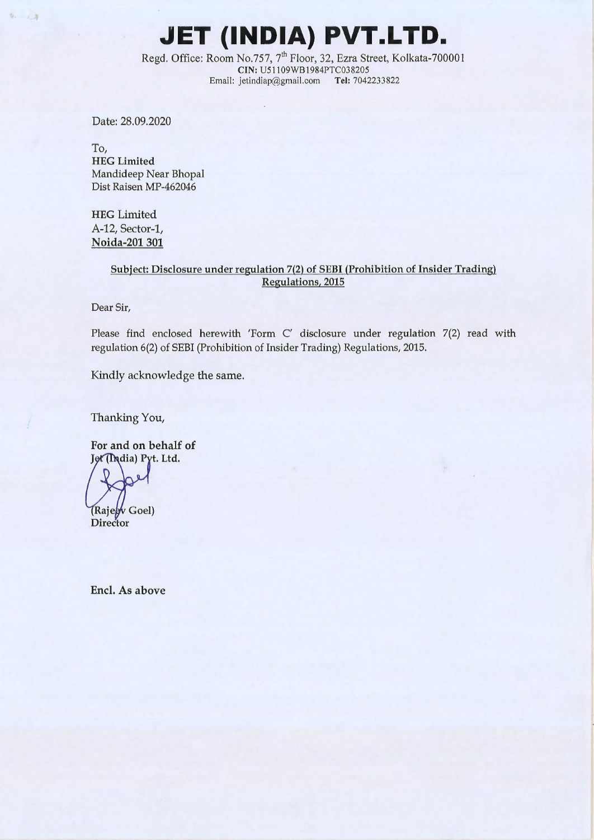# **JET (INDIA) PVT.LTD.**

Regd. Office: Room No.757, 7<sup>th</sup> Floor, 32, Ezra Street, Kolkata-700001 **CIN:** U51 l09WBl984PTC038205 Email: jetindiap@gmail.com **Tel:** 7042233822

Date: 28.09.2020

 $9.11$ 

To, **HEG Limited**  Mandideep Near Bhopal Dist Raisen MP-462046

HEG Limited A-12, Sector-1, **Noida-201301** 

#### Subject: Disclosure under regulation 7(2) of SEBI (Prohibition of Insider Trading) Regulations, 2015

Dear Sir,

Please find enclosed herewith 'Form C' disclosure under regulation 7(2) read with regulation 6(2) of SEBI (Prohibition of Insider Trading) Regulations, 2015.

Kindly acknowledge the same.

Thanking You,

For and on behalf of Jet (India) Pyt. Ltd.

(Rajegy Goel)

Director

Encl. As above